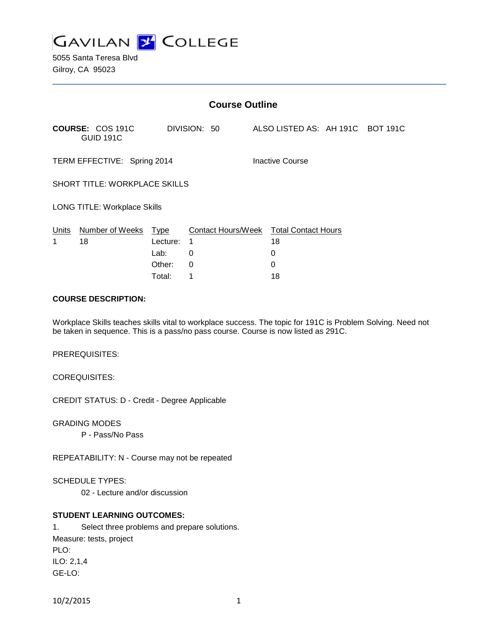

| <b>Course Outline</b>                |          |                                        |  |                                  |  |  |  |
|--------------------------------------|----------|----------------------------------------|--|----------------------------------|--|--|--|
| COURSE: COS 191C<br><b>GUID 191C</b> |          | DIVISION: 50                           |  | ALSO LISTED AS: AH 191C BOT 191C |  |  |  |
| TERM EFFECTIVE: Spring 2014          |          |                                        |  | Inactive Course                  |  |  |  |
| SHORT TITLE: WORKPLACE SKILLS        |          |                                        |  |                                  |  |  |  |
| <b>LONG TITLE: Workplace Skills</b>  |          |                                        |  |                                  |  |  |  |
| Units Number of Weeks Type           |          | Contact Hours/Week Total Contact Hours |  |                                  |  |  |  |
| 1<br>18                              | Lecture: | 1                                      |  | 18                               |  |  |  |
|                                      | Lab:     | 0                                      |  | 0                                |  |  |  |
|                                      | Other:   | 0                                      |  | 0                                |  |  |  |
|                                      | Total:   | 1                                      |  | 18                               |  |  |  |

#### **COURSE DESCRIPTION:**

Workplace Skills teaches skills vital to workplace success. The topic for 191C is Problem Solving. Need not be taken in sequence. This is a pass/no pass course. Course is now listed as 291C.

PREREQUISITES:

COREQUISITES:

CREDIT STATUS: D - Credit - Degree Applicable

GRADING MODES

P - Pass/No Pass

REPEATABILITY: N - Course may not be repeated

SCHEDULE TYPES:

02 - Lecture and/or discussion

# **STUDENT LEARNING OUTCOMES:**

1. Select three problems and prepare solutions. Measure: tests, project PLO: ILO: 2,1,4 GE-LO: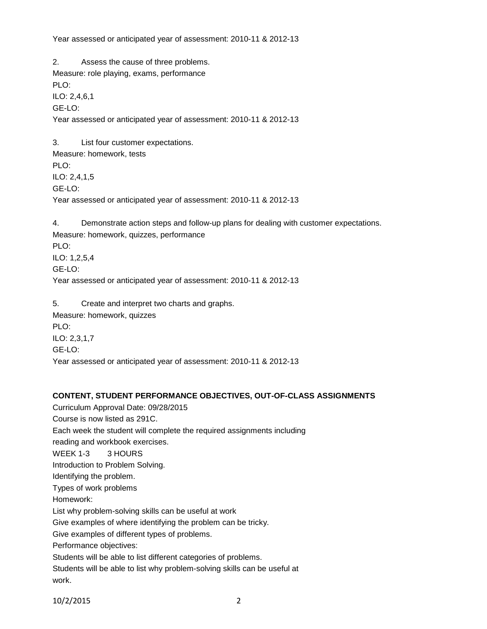Year assessed or anticipated year of assessment: 2010-11 & 2012-13

2. Assess the cause of three problems. Measure: role playing, exams, performance PLO: ILO: 2,4,6,1 GE-LO: Year assessed or anticipated year of assessment: 2010-11 & 2012-13 3. List four customer expectations. Measure: homework, tests PLO: ILO: 2,4,1,5 GE-LO: Year assessed or anticipated year of assessment: 2010-11 & 2012-13

4. Demonstrate action steps and follow-up plans for dealing with customer expectations. Measure: homework, quizzes, performance PLO: ILO: 1,2,5,4 GE-LO: Year assessed or anticipated year of assessment: 2010-11 & 2012-13

5. Create and interpret two charts and graphs. Measure: homework, quizzes PLO: ILO: 2,3,1,7 GE-LO: Year assessed or anticipated year of assessment: 2010-11 & 2012-13

# **CONTENT, STUDENT PERFORMANCE OBJECTIVES, OUT-OF-CLASS ASSIGNMENTS**

Curriculum Approval Date: 09/28/2015 Course is now listed as 291C. Each week the student will complete the required assignments including reading and workbook exercises. WEEK 1-3 3 HOURS Introduction to Problem Solving. Identifying the problem. Types of work problems Homework: List why problem-solving skills can be useful at work Give examples of where identifying the problem can be tricky. Give examples of different types of problems. Performance objectives: Students will be able to list different categories of problems. Students will be able to list why problem-solving skills can be useful at work.

10/2/2015 2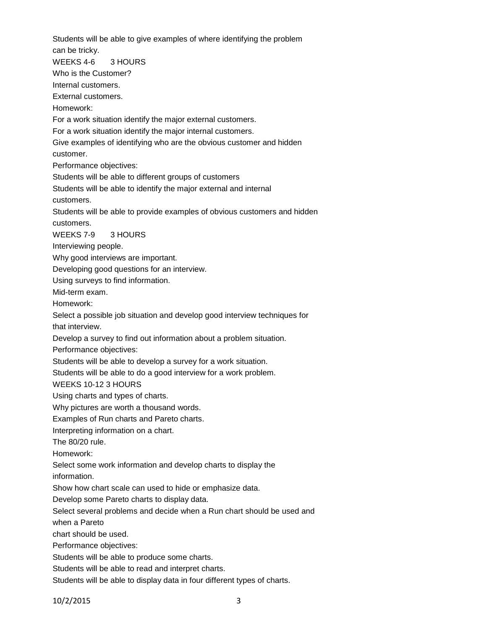Students will be able to give examples of where identifying the problem can be tricky. WEEKS 4-6 3 HOURS Who is the Customer? Internal customers. External customers. Homework: For a work situation identify the major external customers. For a work situation identify the major internal customers. Give examples of identifying who are the obvious customer and hidden customer. Performance objectives: Students will be able to different groups of customers Students will be able to identify the major external and internal customers. Students will be able to provide examples of obvious customers and hidden customers. WEEKS 7-9 3 HOURS Interviewing people. Why good interviews are important. Developing good questions for an interview. Using surveys to find information. Mid-term exam. Homework: Select a possible job situation and develop good interview techniques for that interview. Develop a survey to find out information about a problem situation. Performance objectives: Students will be able to develop a survey for a work situation. Students will be able to do a good interview for a work problem. WEEKS 10-12 3 HOURS Using charts and types of charts. Why pictures are worth a thousand words. Examples of Run charts and Pareto charts. Interpreting information on a chart. The 80/20 rule. Homework: Select some work information and develop charts to display the information. Show how chart scale can used to hide or emphasize data. Develop some Pareto charts to display data. Select several problems and decide when a Run chart should be used and when a Pareto chart should be used. Performance objectives: Students will be able to produce some charts. Students will be able to read and interpret charts. Students will be able to display data in four different types of charts.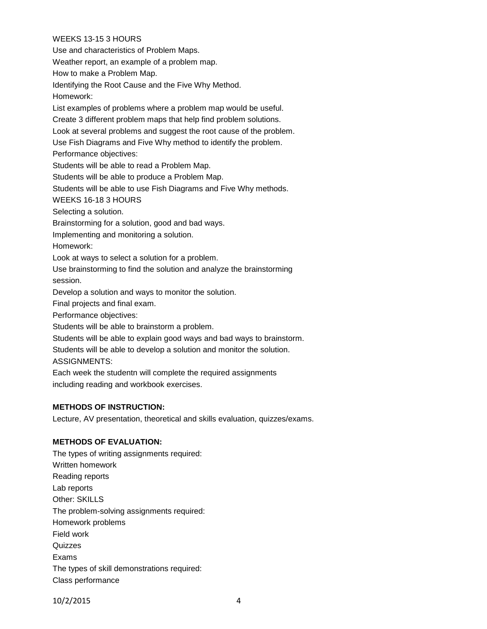# WEEKS 13-15 3 HOURS

Use and characteristics of Problem Maps.

Weather report, an example of a problem map.

How to make a Problem Map.

Identifying the Root Cause and the Five Why Method.

Homework:

List examples of problems where a problem map would be useful.

Create 3 different problem maps that help find problem solutions.

Look at several problems and suggest the root cause of the problem.

Use Fish Diagrams and Five Why method to identify the problem.

Performance objectives:

Students will be able to read a Problem Map.

Students will be able to produce a Problem Map.

Students will be able to use Fish Diagrams and Five Why methods.

WEEKS 16-18 3 HOURS

Selecting a solution.

Brainstorming for a solution, good and bad ways.

Implementing and monitoring a solution.

Homework:

Look at ways to select a solution for a problem.

Use brainstorming to find the solution and analyze the brainstorming session.

Develop a solution and ways to monitor the solution.

Final projects and final exam.

Performance objectives:

Students will be able to brainstorm a problem.

Students will be able to explain good ways and bad ways to brainstorm.

Students will be able to develop a solution and monitor the solution.

ASSIGNMENTS:

Each week the studentn will complete the required assignments including reading and workbook exercises.

# **METHODS OF INSTRUCTION:**

Lecture, AV presentation, theoretical and skills evaluation, quizzes/exams.

# **METHODS OF EVALUATION:**

The types of writing assignments required: Written homework Reading reports Lab reports Other: SKILLS The problem-solving assignments required: Homework problems Field work **Quizzes** Exams The types of skill demonstrations required: Class performance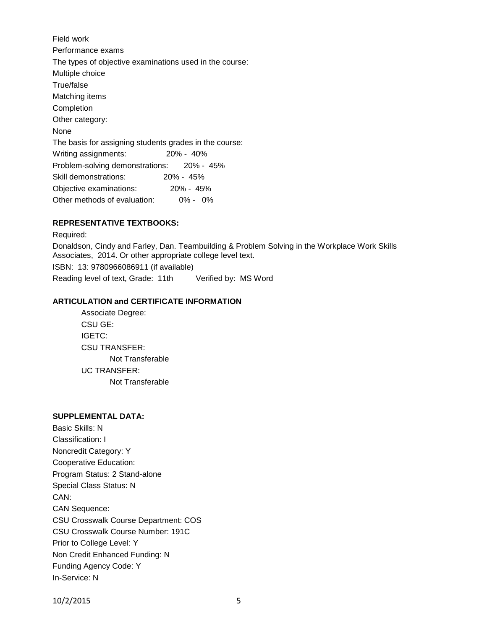Field work Performance exams The types of objective examinations used in the course: Multiple choice True/false Matching items Completion Other category: None The basis for assigning students grades in the course: Writing assignments: 20% - 40% Problem-solving demonstrations: 20% - 45% Skill demonstrations: 20% - 45% Objective examinations: 20% - 45% Other methods of evaluation: 0% - 0%

# **REPRESENTATIVE TEXTBOOKS:**

Required: Donaldson, Cindy and Farley, Dan. Teambuilding & Problem Solving in the Workplace Work Skills Associates, 2014. Or other appropriate college level text. ISBN: 13: 9780966086911 (if available)

Reading level of text, Grade: 11th Verified by: MS Word

# **ARTICULATION and CERTIFICATE INFORMATION**

Associate Degree: CSU GE: IGETC: CSU TRANSFER: Not Transferable UC TRANSFER: Not Transferable

# **SUPPLEMENTAL DATA:**

Basic Skills: N Classification: I Noncredit Category: Y Cooperative Education: Program Status: 2 Stand-alone Special Class Status: N CAN: CAN Sequence: CSU Crosswalk Course Department: COS CSU Crosswalk Course Number: 191C Prior to College Level: Y Non Credit Enhanced Funding: N Funding Agency Code: Y In-Service: N